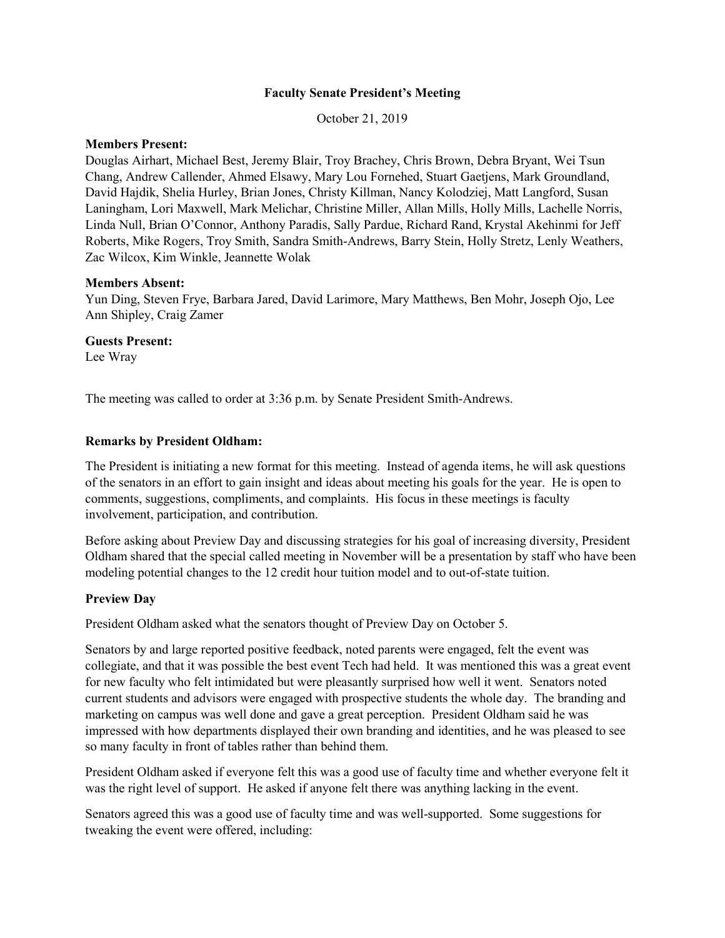## **Faculty Senate President's Meeting**

October 21, 2019

# **Members Present:**

Douglas Airhart, Michael Best, Jeremy Blair, Troy Brachey, Chris Brown, Debra Bryant, Wei Tsun Chang, Andrew Callender, Ahmed Elsawy, Mary Lou Fornehed, Stuart Gaetjens, Mark Groundland, David Hajdik, Shelia Hurley, Brian Jones, Christy Killman, Nancy Kolodziej, Matt Langford, Susan Laningham, Lori Maxwell, Mark Melichar, Christine Miller, Allan Mills, Holly Mills, Lachelle Norris, Linda Null, Brian O'Connor, Anthony Paradis, Sally Pardue, Richard Rand, Krystal Akehinmi for Jeff Roberts, Mike Rogers, Troy Smith, Sandra Smith-Andrews, Barry Stein, Holly Stretz, Lenly Weathers, Zac Wilcox, Kim Winkle, Jeannette Wolak

### **Members Absent:**

Yun Ding, Steven Frye, Barbara Jared, David Larimore, Mary Matthews, Ben Mohr, Joseph Ojo, Lee Ann Shipley, Craig Zamer

### **Guests Present:**

Lee Wray

The meeting was called to order at 3:36 p.m. by Senate President Smith-Andrews.

### **Remarks by President Oldham:**

The President is initiating a new format for this meeting. Instead of agenda items, he will ask questions of the senators in an effort to gain insight and ideas about meeting his goals for the year. He is open to comments, suggestions, compliments, and complaints. His focus in these meetings is faculty involvement, participation, and contribution.

Before asking about Preview Day and discussing strategies for his goal of increasing diversity, President Oldham shared that the special called meeting in November will be a presentation by staff who have been modeling potential changes to the 12 credit hour tuition model and to out-of-state tuition.

## **Preview Day**

President Oldham asked what the senators thought of Preview Day on October 5.

Senators by and large reported positive feedback, noted parents were engaged, felt the event was collegiate, and that it was possible the best event Tech had held. It was mentioned this was a great event for new faculty who felt intimidated but were pleasantly surprised how well it went. Senators noted current students and advisors were engaged with prospective students the whole day. The branding and marketing on campus was well done and gave a great perception. President Oldham said he was impressed with how departments displayed their own branding and identities, and he was pleased to see so many faculty in front of tables rather than behind them.

President Oldham asked if everyone felt this was a good use of faculty time and whether everyone felt it was the right level of support. He asked if anyone felt there was anything lacking in the event.

Senators agreed this was a good use of faculty time and was well-supported. Some suggestions for tweaking the event were offered, including: